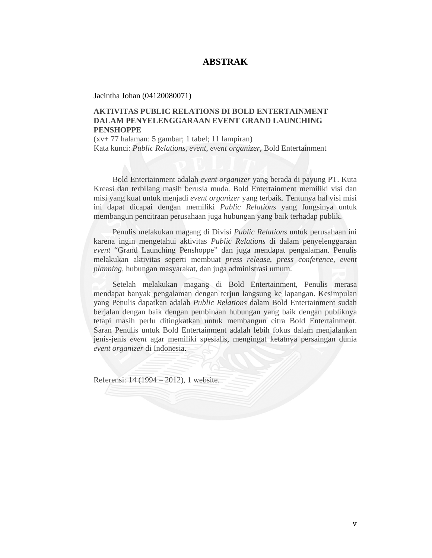## **ABSTRAK**

Jacintha Johan (04120080071)

## **AKTIVITAS PUBLIC RELATIONS DI BOLD ENTERTAINMENT DALAM PENYELENGGARAAN EVENT GRAND LAUNCHING PENSHOPPE**

(xv+ 77 halaman: 5 gambar; 1 tabel; 11 lampiran) Kata kunci: *Public Relations*, *event*, *event organizer*, Bold Entertainment

Bold Entertainment adalah *event organizer* yang berada di payung PT. Kuta Kreasi dan terbilang masih berusia muda. Bold Entertainment memiliki visi dan misi yang kuat untuk menjadi *event organizer* yang terbaik. Tentunya hal visi misi ini dapat dicapai dengan memiliki *Public Relations* yang fungsinya untuk membangun pencitraan perusahaan juga hubungan yang baik terhadap publik.

Penulis melakukan magang di Divisi *Public Relations* untuk perusahaan ini karena ingin mengetahui aktivitas *Public Relations* di dalam penyelenggaraan *event* "Grand Launching Penshoppe" dan juga mendapat pengalaman. Penulis melakukan aktivitas seperti membuat *press release*, *press conference, event planning,* hubungan masyarakat, dan juga administrasi umum.

Setelah melakukan magang di Bold Entertainment, Penulis merasa mendapat banyak pengalaman dengan terjun langsung ke lapangan. Kesimpulan yang Penulis dapatkan adalah *Public Relations* dalam Bold Entertainment sudah berjalan dengan baik dengan pembinaan hubungan yang baik dengan publiknya tetapi masih perlu ditingkatkan untuk membangun citra Bold Entertainment. Saran Penulis untuk Bold Entertainment adalah lebih fokus dalam menjalankan jenis-jenis *event* agar memiliki spesialis, mengingat ketatnya persaingan dunia *event organizer* di Indonesia.

Referensi: 14 (1994 – 2012), 1 website.